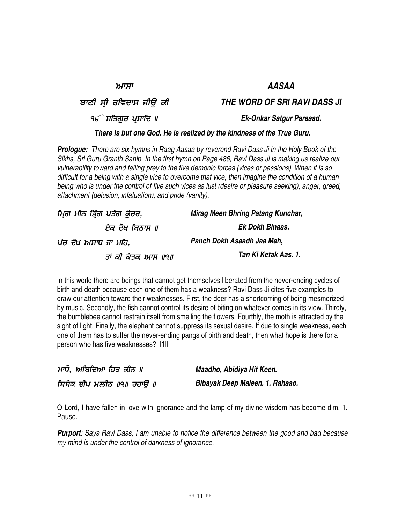ਮਾਸਾ

ਬਾਣੀ ਸ੍ਰੀ ਰਵਿਦਾਸ ਜੀਉ ਕੀ

੧*€ੇ* ਸਤਿਗੁਰ ਪ੍ਸਾਰਿ

# *There is but one God. He is realized by the kindness of the True Guru.*

**Prologue:** There are six hymns in Raag Aasaa by reverend Ravi Dass Ji in the Holy Book of the Sikhs, Sri Guru Granth Sahib. In the first hymn on Page 486, Ravi Dass Ji is making us realize our *vulnerability toward and falling prey to the five demonic forces (vices or passions). When it is so* difficult for a being with a single vice to overcome that vice, then imagine the condition of a human being who is under the control of five such vices as lust (desire or pleasure seeking), anger, greed, *attachment (delusion, infatuation), and pride (vanity).*

| ਮਿ੍ਗ ਮੀਨ ਭਿ੍ੰਗ ਪਤੰਗ ਕੁੰਚਰ, | Mirag Meen Bhring Patang Kunchar, |
|----------------------------|-----------------------------------|
| ਏਕ ਦੋਖ ਬਿਨਾਸ ॥             | Ek Dokh Binaas.                   |
| ਪੰਚ ਦੋਖ ਅਸਾਧ ਜਾ ਮਹਿ,       | Panch Dokh Asaadh Jaa Meh,        |
| ਤਾਂ ਕੀ ਕੇਤਕ ਆਸ ॥੧॥         | Tan Ki Ketak Aas. 1.              |

In this world there are beings that cannot get themselves liberated from the never-ending cycles of birth and death because each one of them has a weakness? Ravi Dass Ji cites five examples to draw our attention toward their weaknesses. First, the deer has a shortcoming of being mesmerized by music. Secondly, the fish cannot control its desire of biting on whatever comes in its view. Thirdly, the bumblebee cannot restrain itself from smelling the flowers. Fourthly, the moth is attracted by the sight of light. Finally, the elephant cannot suppress its sexual desire. If due to single weakness, each one of them has to suffer the never-ending pangs of birth and death, then what hope is there for a person who has five weaknesses? ||1||

| ਮਾਧੋ, ਅਬਿਦਿਆ ਹਿਤ ਕੀਨ ॥    | Maadho, Abidiya Hit Keen.      |
|---------------------------|--------------------------------|
| ਬਿਬੇਕ ਦੀਪ ਮਲੀਨ ॥੧॥ ਰਹਾੳ ॥ | Bibayak Deep Maleen. 1. Rahaao |

O Lord, I have fallen in love with ignorance and the lamp of my divine wisdom has become dim. 1. Pause.

*Purport: Says Ravi Dass, I am unable to notice the difference between the good and bad because my mind is under the control of darkness of ignorance.*

# *AASAA*

*THE WORD OF SRI RAVI DASS JI*

 *Ek-Onkar Satgur Parsaad.*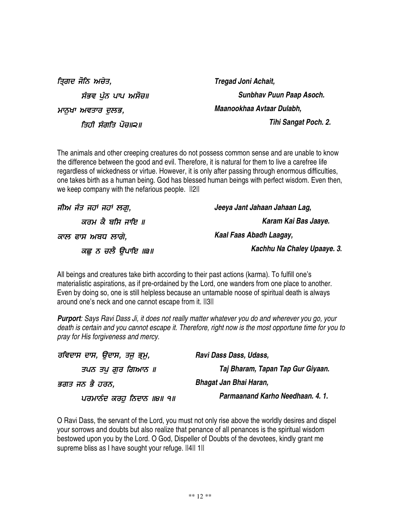| ਤਿ੍ਗਦ ਜੋਨਿ ਅਚੇਤ,   | Tregad Joni Achait,       |
|--------------------|---------------------------|
| ਸੰਭਵ ਪੰਨ ਪਾਪ ਅਸੋਚ॥ | Sunbhav Puun Paap Asoch.  |
| ਮਾਨਖਾ ਅਵਤਾਰ ਦਲਭ,   | Maanookhaa Avtaar Dulabh, |
| ਤਿਹੀ ਸੰਗਤਿ ਪੋਚ॥੨॥  | Tihi Sangat Poch. 2.      |

The animals and other creeping creatures do not possess common sense and are unable to know the difference between the good and evil. Therefore, it is natural for them to live a carefree life regardless of wickedness or virtue. However, it is only after passing through enormous difficulties, one takes birth as a human being. God has blessed human beings with perfect wisdom. Even then, we keep company with the nefarious people.  $||2||$ 

| ਜੀਅ ਜੰਤ ਜਹਾਂ ਜਹਾਂ ਲਗ, | Jeeya Jant Jahaan Jahaan Lag, |
|-----------------------|-------------------------------|
| ਕਰਮ ਕੈ ਬਸਿ ਜਾਇ ॥      | Karam Kai Bas Jaaye.          |
| ਕਾਲ ਫਾਸ ਅਬਧ ਲਾਗੇ.     | Kaal Faas Abadh Laagay,       |
| ਕਛੂ ਨ ਚਲੈ ਉਪਾਇ ॥੩॥    | Kachhu Na Chaley Upaaye. 3.   |

All beings and creatures take birth according to their past actions (karma). To fulfill one's materialistic aspirations, as if pre-ordained by the Lord, one wanders from one place to another. Even by doing so, one is still helpless because an untamable noose of spiritual death is always around one's neck and one cannot escape from it. ||3||

**Purport:** Says Ravi Dass Ji, it does not really matter whatever you do and wherever you go, your death is certain and you cannot escape it. Therefore, right now is the most opportune time for you to *pray for His forgiveness and mercy.*

| ਰਵਿਦਾਸ ਦਾਸ, ਉਦਾਸ, ਤਜੁ ਭ੍ਰਮ, | Ravi Dass Dass, Udass,            |
|-----------------------------|-----------------------------------|
| ਤਪਨ ਤਪ ਗਰ ਗਿਆਨ ॥            | Taj Bharam, Tapan Tap Gur Giyaan. |
| ਭਗਤ ਜਨ ਭੈ ਹਰਨ,              | Bhagat Jan Bhai Haran,            |
| ਪਰਮਾਨੰਦ ਕਰਹੂ ਨਿਦਾਨ ॥੪॥ ੧॥   | Parmaanand Karho Needhaan. 4. 1.  |

O Ravi Dass, the servant of the Lord, you must not only rise above the worldly desires and dispel your sorrows and doubts but also realize that penance of all penances is the spiritual wisdom bestowed upon you by the Lord. O God, Dispeller of Doubts of the devotees, kindly grant me supreme bliss as I have sought your refuge. ||4|| 1||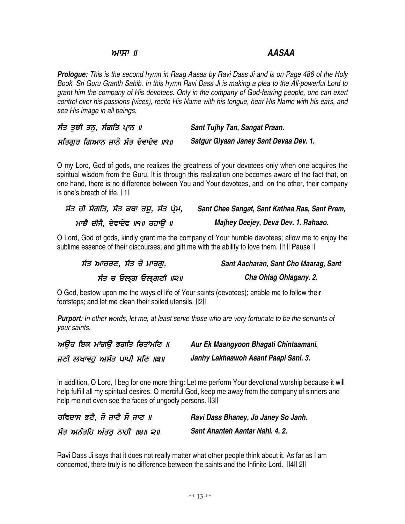### וו ידניוּמ

### *AASAA*

**Prologue:** This is the second hymn in Raag Aasaa by Ravi Dass Ji and is on Page 486 of the Holy Book, Sri Guru Granth Sahib. In this hymn Ravi Dass Ji is making a plea to the All-powerful Lord to *grant him the company of His devotees. Only in the company of God-fearing people, one can exert* control over his passions (vices), recite His Name with his tongue, hear His Name with his ears, and *see His image in all beings.*

ਸੰਤ ਤੁਝੀ ਤਨੁ, ਸੰਗਤਿ ਪ੍ਰਾਨ ॥ - '  *Satgur Giyaan Janey Sant Devaa Dev. 1. Sant Tujhy Tan, Sangat Praan.*

O my Lord, God of gods, one realizes the greatness of your devotees only when one acquires the spiritual wisdom from the Guru. It is through this realization one becomes aware of the fact that, on one hand, there is no difference between You and Your devotees, and, on the other, their company is one's breath of life. ||1||

| ਸੰਤ ਚੀ ਸੰਗਤਿ, ਸੰਤ ਕਥਾ ਰਸੂ, ਸੰਤ ਪ੍ਰੇਮ, | Sant Chee Sangat, Sant Kathaa Ras, Sant Prem, |
|---------------------------------------|-----------------------------------------------|
| ਮਾਝੈ ਦੀਜੈ, ਦੇਵਾਦੇਵ ॥੧॥ ਰਹਾੳ ॥         | Majhey Deejey, Deva Dev. 1. Rahaao.           |

O Lord, God of gods, kindly grant me the company of Your humble devotees; allow me to enjoy the sublime essence of their discourses; and gift me with the ability to love them. II1II Pause II

ਸੰਤ ਆਚਰਣ, ਸੰਤ ਚੋ ਮਾਰਗੁ, ਸੰਤ ਚ ਓਲ੍ਗ ਓਲ੍ਗਣੀ ॥੨॥ *Sant Aacharan, Sant Cho Maarag, Sant Cha Ohlag Ohlagany. 2.*

O God, bestow upon me the ways of life of Your saints (devotees); enable me to follow their footsteps; and let me clean their soiled utensils. ||2||

**Purport:** In other words, let me, at least serve those who are very fortunate to be the servants of *your saints.*

| ਅੳਰ ਇਕ ਮਾਂਗੳ ਭਗਤਿ ਚਿਤਾਂਮਣਿ ॥ | Aur Ek Maangyoon Bhagati Chintaamani. |
|------------------------------|---------------------------------------|
| ਜਣੀ ਲਖਾਵਹ ਅਸੰਤ ਪਾਪੀ ਸਣਿ ।।੩॥ | Janhy Lakhaawoh Asant Paapi Sani. 3.  |

In addition, O Lord, I beg for one more thing: Let me perform Your devotional worship because it will help fulfill all my spiritual desires. O merciful God, keep me away from the company of sinners and help me not even see the faces of ungodly persons.  $||3||$ 

| ਰਵਿਦਾਸ ਭਣੈ, ਜੋ ਜਾਣੈ ਸੋ ਜਾਣ ॥ | Ravi Dass Bhaney, Jo Janey So Janh. |
|------------------------------|-------------------------------------|
| ਸੰਤ ਅਨੰਤਹਿ ਅੰਤਰ ਨਾਹੀਂ ॥੪॥ ੨॥ | Sant Ananteh Aantar Nahi. 4. 2.     |

Ravi Dass Ji says that it does not really matter what other people think about it. As far as I am concerned, there truly is no difference between the saints and the Infinite Lord. ||4|| 2||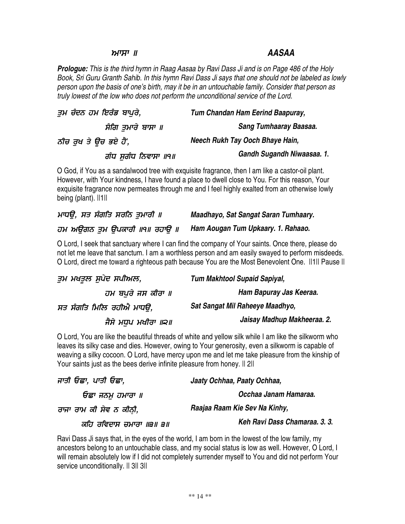### וו ידניוּמ

## *AASAA*

**Prologue:** This is the third hymn in Raag Aasaa by Ravi Dass Ji and is on Page 486 of the Holy Book, Sri Guru Granth Sahib. In this hymn Ravi Dass Ji says that one should not be labeled as lowly *person upon the basis of one's birth, may it be in an untouchable family. Consider that person as truly lowest of the low who does not perform the unconditional service of the Lord.*

| ਤਮ ਚੰਦਨ ਹਮ ਇਰੰਡ ਬਾਪਰੇ, | Tum Chandan Ham Eerind Baapuray, |
|------------------------|----------------------------------|
| ਸੰਗਿ ਤਮਾਰੇ ਬਾਸਾ ॥      | Sang Tumhaaray Baasaa.           |
| ਨੀਚ ਰੁਖ ਤੇ ਉਚ ਭਏ ਹੈਂ,  | Neech Rukh Tay Ooch Bhaye Hain,  |
| ਗੰਧ ਸਗੰਧ ਨਿਵਾਸਾ ॥੧॥    | Gandh Sugandh Niwaasaa. 1.       |

O God, if You as a sandalwood tree with exquisite fragrance, then I am like a castor-oil plant. However, with Your kindness, I have found a place to dwell close to You. For this reason, Your exquisite fragrance now permeates through me and I feel highly exalted from an otherwise lowly being (plant). ||1||

| ਮਾਧੳ, ਸਤ ਸੰਗਤਿ ਸਰਨਿ ਤਮਾਰੀ ॥   | Maadhayo, Sat Sangat Saran Tumhaary. |
|-------------------------------|--------------------------------------|
| ਹਮ ਅਉਗਨ ਤੁਮ ਉਪਕਾਰੀ ॥੧॥ ਰਹਾਉ ॥ | Ham Aougan Tum Upkaary. 1. Rahaao.   |

O Lord, I seek that sanctuary where I can find the company of Your saints. Once there, please do not let me leave that sanctum. I am a worthless person and am easily swayed to perform misdeeds. O Lord, direct me toward a righteous path because You are the Most Benevolent One. ||1|| Pause ||

| ਤੁਮ ਮਖਤੁਲ ਸੁਪੇਦ ਸਪੀਅਲ,   | <b>Tum Makhtool Supaid Sapiyal,</b> |
|--------------------------|-------------------------------------|
| ਹਮ ਬਪਰੇ ਜਸ ਕੀਰਾ ॥        | Ham Bapuray Jas Keeraa.             |
| ਸਤ ਸੰਗਤਿ ਮਿਲਿ ਰਹੀਐ ਮਾਧੳ, | Sat Sangat Mil Raheeye Maadhyo,     |
| ਜੈਸੇ ਮਧਪ ਮਖੀਰਾ ॥੨॥       | Jaisay Madhup Makheeraa. 2.         |

O Lord, You are like the beautiful threads of white and yellow silk while I am like the silkworm who leaves its silky case and dies. However, owing to Your generosity, even a silkworm is capable of weaving a silky cocoon. O Lord, have mercy upon me and let me take pleasure from the kinship of Your saints just as the bees derive infinite pleasure from honey. Il 2ll

| ਜਾਤੀ ਓਛਾ, ਪਾਤੀ ਓਛਾ,     | Jaaty Ochhaa, Paaty Ochhaa,   |
|-------------------------|-------------------------------|
| ਓਛਾ ਜਨਮ ਹਮਾਰਾ ॥         | Occhaa Janam Hamaraa.         |
| ਰਾਜਾ ਰਾਮ ਕੀ ਸੇਵ ਨ ਕੀਨੀ, | Raajaa Raam Kie Sev Na Kinhy, |
| ਕਹਿ ਰਵਿਦਾਸ ਚਮਾਰਾ ॥੩॥ ੩॥ | Keh Ravi Dass Chamaraa. 3.3.  |

Ravi Dass Ji says that, in the eyes of the world, I am born in the lowest of the low family, my ancestors belong to an untouchable class, and my social status is low as well. However, O Lord, I will remain absolutely low if I did not completely surrender myself to You and did not perform Your service unconditionally. Il 3ll 3ll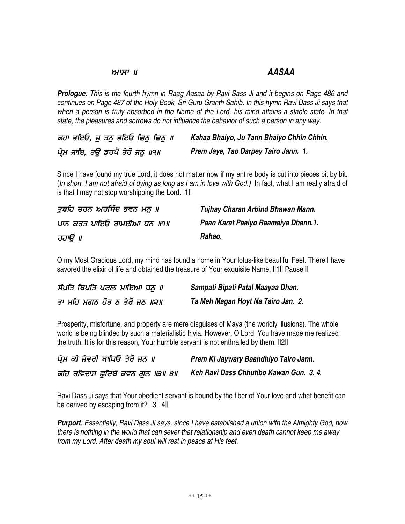#### וו ידניו או *AASAA*

**Prologue:** This is the fourth hymn in Raag Aasaa by Ravi Sass Ji and it begins on Page 486 and continues on Page 487 of the Holy Book, Sri Guru Granth Sahib. In this hymn Ravi Dass Ji says that when a person is truly absorbed in the Name of the Lord, his mind attains a stable state. In that *state, the pleasures and sorrows do not influence the behavior of such a person in any way.*

| ਕਹਾ ਭਇਓ, <u>ਜ</u> ਤਨੁ ਭਇਓ ਛਿਨੁ ਛਿਨੁ ॥ | Kahaa Bhaiyo, Ju Tann Bhaiyo Chhin Chhin. |
|---------------------------------------|-------------------------------------------|
| ਪ੍ਰੇਮ ਜਾਇ, ਤਉ ਡਰਪੈ ਤੇਰੋ ਜਨੁ ॥੧॥       | Prem Jaye, Tao Darpey Tairo Jann. 1.      |

Since I have found my true Lord, it does not matter now if my entire body is cut into pieces bit by bit. (In short, I am not afraid of dying as long as I am in love with God.) In fact, what I am really afraid of is that I may not stop worshipping the Lord. I1II

| ਤਝਹਿ ਚਰਨ ਅਰਬਿੰਦ ਭਵਨ ਮਨ ॥  | Tujhay Charan Arbind Bhawan Mann.   |
|---------------------------|-------------------------------------|
| ਪਾਨ ਕਰਤ ਪਾਇਓ ਰਾਮਈਆ ਧਨ ॥੧॥ | Paan Karat Paaiyo Raamaiya Dhann.1. |
| ਰਹਾੳ ॥                    | Rahao.                              |

O my Most Gracious Lord, my mind has found a home in Your lotus-like beautiful Feet. There I have savored the elixir of life and obtained the treasure of Your exquisite Name. II1II Pause II

| ਸੰਪਤਿ ਬਿਪਤਿ ਪਟਲ ਮਾਇਆ ਧਨ ॥    | Sampati Bipati Patal Maayaa Dhan.  |
|------------------------------|------------------------------------|
| ਤਾ ਮਹਿ ਮਗਨ ਹੋਤ ਨ ਤੇਰੋ ਜਨ ॥੨॥ | Ta Meh Magan Hoyt Na Tairo Jan. 2. |

Prosperity, misfortune, and property are mere disguises of Maya (the worldly illusions). The whole world is being blinded by such a materialistic trivia. However, O Lord, You have made me realized the truth. It is for this reason, Your humble servant is not enthralled by them. ||2||

| ਪ੍ਰੇਮ ਕੀ ਜੇਵਰੀ ਬਾਂਧਿਓ ਤੇਰੋ ਜਨ ॥ | Prem Ki Jaywary Baandhiyo Tairo Jann.  |
|---------------------------------|----------------------------------------|
| ਕਹਿ ਰਵਿਦਾਸ ਛਟਿਬੋ ਕਵਨ ਗਨ ॥੩॥ ੪॥  | Keh Ravi Dass Chhutibo Kawan Gun. 3.4. |

Ravi Dass Ji says that Your obedient servant is bound by the fiber of Your love and what benefit can be derived by escaping from it? ||3|| 4||

**Purport:** Essentially, Ravi Dass Ji says, since I have established a union with the Almighty God, now *there is nothing in the world that can sever that relationship and even death cannot keep me away from my Lord. After death my soul will rest in peace at His feet.*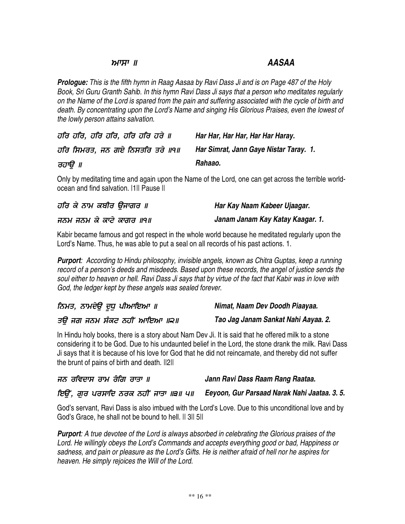### וו ידניוא

# *AASAA*

**Prologue:** This is the fifth hymn in Raag Aasaa by Ravi Dass Ji and is on Page 487 of the Holy *Book, Sri Guru Granth Sahib. In this hymn Ravi Dass Ji says that a person who meditates regularly* on the Name of the Lord is spared from the pain and suffering associated with the cycle of birth and *death. By concentrating upon the Lord's Name and singing His Glorious Praises, even the lowest of the lowly person attains salvation.*

| ਹਰਿ ਹਰਿ, ਹਰਿ ਹਰਿ, ਹਰਿ ਹਰਿ ਹਰੇ ॥ | Har Har, Har Har, Har Har Haray.       |
|---------------------------------|----------------------------------------|
| ਹਰਿ ਸਿਮਰਤ, ਜਨ ਗਏ ਨਿਸਤਰਿ ਤਰੇ ॥੧॥ | Har Simrat, Jann Gaye Nistar Taray. 1. |
| ਰਹਾੳ ॥                          | Rahaao.                                |

Only by meditating time and again upon the Name of the Lord, one can get across the terrible worldocean and find salvation. |1|| Pause ||

| ਹਰਿ ਕੇ ਨਾਮ ਕਬੀਰ ੳਜਾਗਰ ॥  | Har Kay Naam Kabeer Ujaagar.     |
|--------------------------|----------------------------------|
| ਜਨਮ ਜਨਮ ਕੇ ਕਾਟੇ ਕਾਗਰ ॥੧॥ | Janam Janam Kay Katay Kaagar. 1. |

Kabir became famous and got respect in the whole world because he meditated regularly upon the Lord's Name. Thus, he was able to put a seal on all records of his past actions. 1.

*Purport: According to Hindu philosophy, invisible angels, known as Chitra Guptas, keep a running record of a person's deeds and misdeeds. Based upon these records, the angel of justice sends the* soul either to heaven or hell. Ravi Dass Ji says that by virtue of the fact that Kabir was in love with *God, the ledger kept by these angels was sealed forever.*

| ਨਿਮਤ, ਨਾਮਦੇਉ ਦੁਧੁ ਪੀਆਇਆ ॥   | Nimat, Naam Dev Doodh Piaayaa.      |
|-----------------------------|-------------------------------------|
| ਤੳ ਜਗ ਜਨਮ ਸੰਕਟ ਨਹੀਂ ਆਇਆ ॥੨॥ | Tao Jag Janam Sankat Nahi Aayaa. 2. |

In Hindu holy books, there is a story about Nam Dev Ji. It is said that he offered milk to a stone considering it to be God. Due to his undaunted belief in the Lord, the stone drank the milk. Ravi Dass Ji says that it is because of his love for God that he did not reincarnate, and thereby did not suffer the brunt of pains of birth and death. ||2||

| ਜਨ ਰਵਿਦਾਸ ਰਾਮ ਰੰਗਿ ਰਾਤਾ ॥ | Jann Ravi Dass Raam Rang Raataa. |
|---------------------------|----------------------------------|
|---------------------------|----------------------------------|

/  #/
\* 4 *Eeyoon, Gur Parsaad Narak Nahi Jaataa. 3. 5.*

God's servant, Ravi Dass is also imbued with the Lord's Love. Due to this unconditional love and by God's Grace, he shall not be bound to hell. || 3|| 5||

*Purport: A true devotee of the Lord is always absorbed in celebrating the Glorious praises of the Lord. He willingly obeys the Lord's Commands and accepts everything good or bad, Happiness or* sadness, and pain or pleasure as the Lord's Gifts. He is neither afraid of hell nor he aspires for *heaven. He simply rejoices the Will of the Lord.*